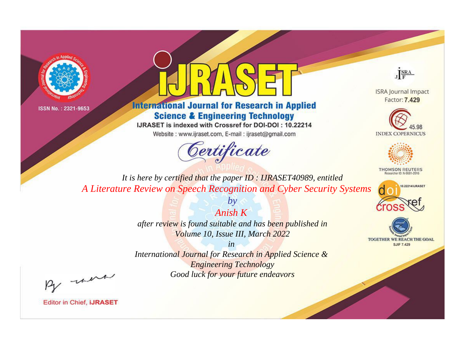



**International Journal for Research in Applied Science & Engineering Technology** 

IJRASET is indexed with Crossref for DOI-DOI: 10.22214

Website: www.ijraset.com, E-mail: ijraset@gmail.com



JERA

**ISRA Journal Impact** Factor: 7.429





**THOMSON REUTERS** 



TOGETHER WE REACH THE GOAL **SJIF 7.429** 

*It is here by certified that the paper ID : IJRASET40989, entitled A Literature Review on Speech Recognition and Cyber Security Systems*

*Anish K* 

*by*

*after review is found suitable and has been published in Volume 10, Issue III, March 2022*

*in* 

*International Journal for Research in Applied Science & Engineering Technology Good luck for your future endeavors*

By morn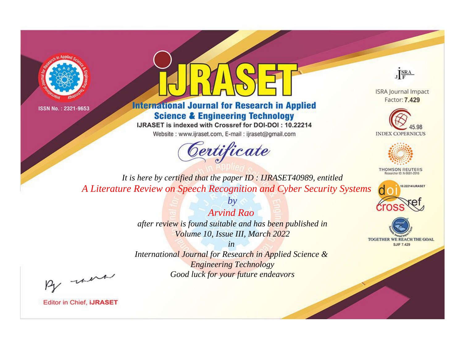



**International Journal for Research in Applied Science & Engineering Technology** 

IJRASET is indexed with Crossref for DOI-DOI: 10.22214

Website: www.ijraset.com, E-mail: ijraset@gmail.com



JERA

**ISRA Journal Impact** Factor: 7.429





**THOMSON REUTERS** 



TOGETHER WE REACH THE GOAL **SJIF 7.429** 

*It is here by certified that the paper ID : IJRASET40989, entitled A Literature Review on Speech Recognition and Cyber Security Systems*

> *Arvind Rao after review is found suitable and has been published in*

*by*

*Volume 10, Issue III, March 2022*

*in* 

*International Journal for Research in Applied Science & Engineering Technology Good luck for your future endeavors*

By morn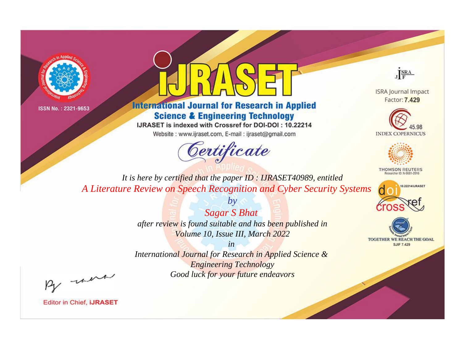



**International Journal for Research in Applied Science & Engineering Technology** 

IJRASET is indexed with Crossref for DOI-DOI: 10.22214

Website: www.ijraset.com, E-mail: ijraset@gmail.com



JERA

**ISRA Journal Impact** Factor: 7.429





**THOMSON REUTERS** 



TOGETHER WE REACH THE GOAL **SJIF 7.429** 

*It is here by certified that the paper ID : IJRASET40989, entitled A Literature Review on Speech Recognition and Cyber Security Systems*

> *Sagar S Bhat after review is found suitable and has been published in Volume 10, Issue III, March 2022*

*by*

*in* 

*International Journal for Research in Applied Science & Engineering Technology Good luck for your future endeavors*

By morn